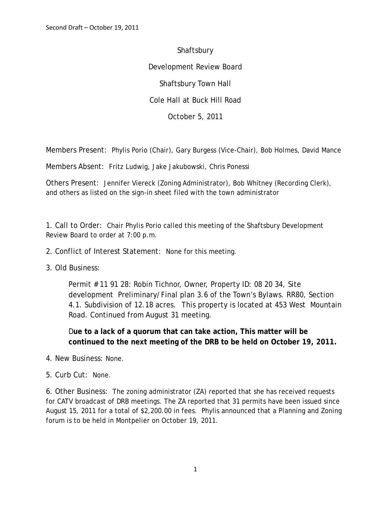**Shaftsbury** Development Review Board Shaftsbury Town Hall Cole Hall at Buck Hill Road October 5, 2011

Members Present: Phylis Porio (Chair), Gary Burgess (Vice-Chair), Bob Holmes, David Mance

Members Absent: Fritz Ludwig, Jake Jakubowski, Chris Ponessi

Others Present: Jennifer Viereck (Zoning Administrator), Bob Whitney (Recording Clerk), and others as listed on the sign-in sheet filed with the town administrator

1. Call to Order: Chair Phylis Porio called this meeting of the Shaftsbury Development Review Board to order at 7:00 p.m.

- 2. Conflict of Interest Statement: None for this meeting.
- 3. Old Business:

Permit # 11 91 28: Robin Tichnor, Owner, Property ID: 08 20 34, Site development Preliminary/Final plan 3.6 of the Town's Bylaws. RR80, Section 4.1. Subdivision of 12.18 acres. This property is located at 453 West Mountain Road. Continued from August 31 meeting.

D**ue to a lack of a quorum that can take action, This matter will be continued to the next meeting of the DRB to be held on October 19, 2011.** 

- 4. New Business: None.
- 5. Curb Cut: None.

6. Other Business: The zoning administrator (ZA) reported that she has received requests for CATV broadcast of DRB meetings. The ZA reported that 31 permits have been issued since August 15, 2011 for a total of \$2,200.00 in fees. Phylis announced that a Planning and Zoning forum is to be held in Montpelier on October 19, 2011.